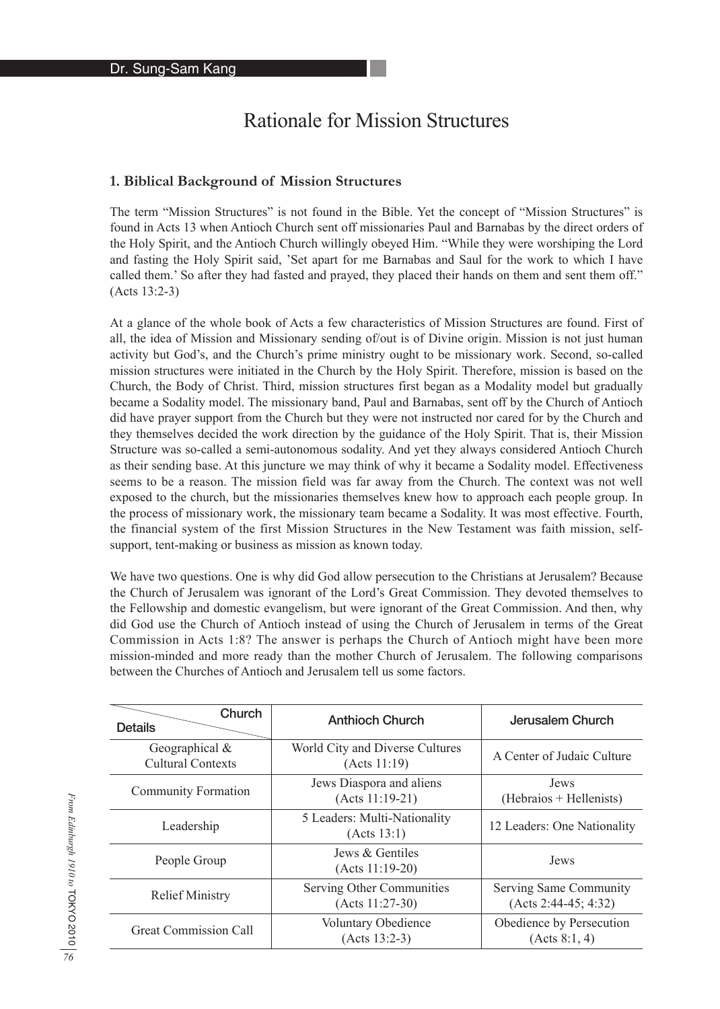# Rationale for Mission Structures

### **1. Biblical Background of Mission Structures**

The term "Mission Structures" is not found in the Bible. Yet the concept of "Mission Structures" is found in Acts 13 when Antioch Church sent off missionaries Paul and Barnabas by the direct orders of the Holy Spirit, and the Antioch Church willingly obeyed Him. "While they were worshiping the Lord and fasting the Holy Spirit said, 'Set apart for me Barnabas and Saul for the work to which I have called them.' So after they had fasted and prayed, they placed their hands on them and sent them off." (Acts 13:2-3)

At a glance of the whole book of Acts a few characteristics of Mission Structures are found. First of all, the idea of Mission and Missionary sending of/out is of Divine origin. Mission is not just human activity but God's, and the Church's prime ministry ought to be missionary work. Second, so-called mission structures were initiated in the Church by the Holy Spirit. Therefore, mission is based on the Church, the Body of Christ. Third, mission structures first began as a Modality model but gradually became a Sodality model. The missionary band, Paul and Barnabas, sent off by the Church of Antioch did have prayer support from the Church but they were not instructed nor cared for by the Church and they themselves decided the work direction by the guidance of the Holy Spirit. That is, their Mission Structure was so-called a semi-autonomous sodality. And yet they always considered Antioch Church as their sending base. At this juncture we may think of why it became a Sodality model. Effectiveness seems to be a reason. The mission field was far away from the Church. The context was not well exposed to the church, but the missionaries themselves knew how to approach each people group. In the process of missionary work, the missionary team became a Sodality. It was most effective. Fourth, the financial system of the first Mission Structures in the New Testament was faith mission, selfsupport, tent-making or business as mission as known today.

We have two questions. One is why did God allow persecution to the Christians at Jerusalem? Because the Church of Jerusalem was ignorant of the Lord's Great Commission. They devoted themselves to the Fellowship and domestic evangelism, but were ignorant of the Great Commission. And then, why did God use the Church of Antioch instead of using the Church of Jerusalem in terms of the Great Commission in Acts 1:8? The answer is perhaps the Church of Antioch might have been more mission-minded and more ready than the mother Church of Jerusalem. The following comparisons between the Churches of Antioch and Jerusalem tell us some factors.

| Church<br><b>Details</b>                   | <b>Anthioch Church</b>                          | Jerusalem Church                                 |
|--------------------------------------------|-------------------------------------------------|--------------------------------------------------|
| Geographical &<br><b>Cultural Contexts</b> | World City and Diverse Cultures<br>(Acts 11:19) | A Center of Judaic Culture                       |
| <b>Community Formation</b>                 | Jews Diaspora and aliens<br>$(Acts 11:19-21)$   | Jews<br>(Hebraios + Hellenists)                  |
| Leadership                                 | 5 Leaders: Multi-Nationality<br>(Acts 13:1)     | 12 Leaders: One Nationality                      |
| People Group                               | Jews & Gentiles<br>$(Acts 11:19-20)$            | Jews                                             |
| <b>Relief Ministry</b>                     | Serving Other Communities<br>$(Acts 11:27-30)$  | Serving Same Community<br>$(Acts 2:44-45; 4:32)$ |
| <b>Great Commission Call</b>               | <b>Voluntary Obedience</b><br>$(Acts 13:2-3)$   | Obedience by Persecution<br>(Acts 8:1, 4)        |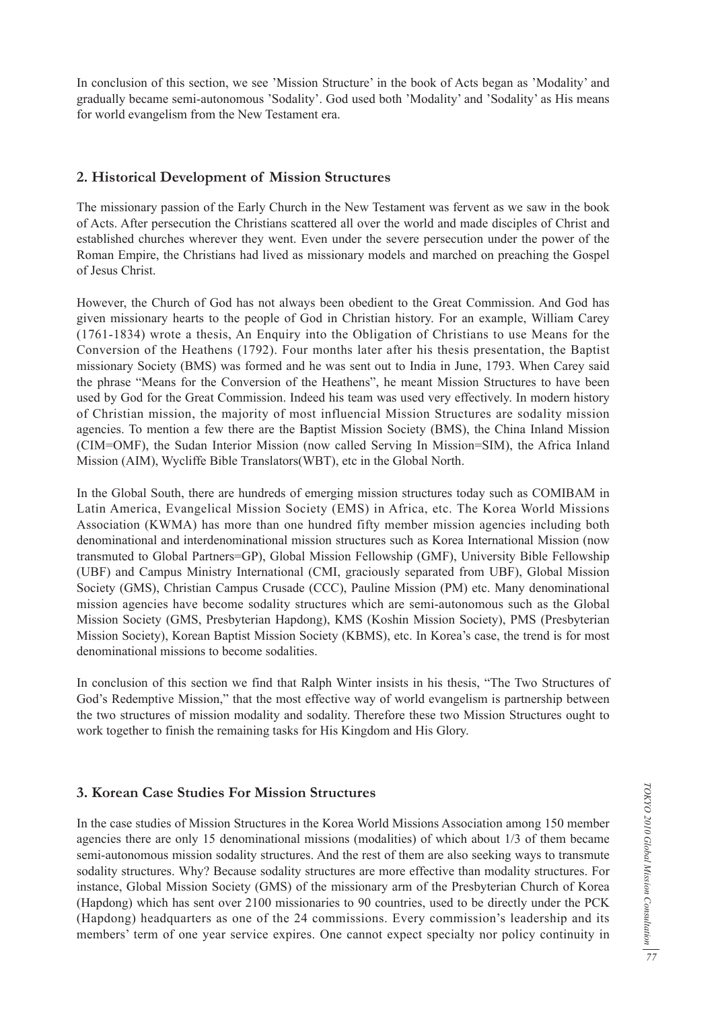In conclusion of this section, we see 'Mission Structure' in the book of Acts began as 'Modality' and gradually became semi-autonomous 'Sodality'. God used both 'Modality' and 'Sodality' as His means for world evangelism from the New Testament era.

## **2. Historical Development of Mission Structures**

The missionary passion of the Early Church in the New Testament was fervent as we saw in the book of Acts. After persecution the Christians scattered all over the world and made disciples of Christ and established churches wherever they went. Even under the severe persecution under the power of the Roman Empire, the Christians had lived as missionary models and marched on preaching the Gospel of Jesus Christ.

However, the Church of God has not always been obedient to the Great Commission. And God has given missionary hearts to the people of God in Christian history. For an example, William Carey (1761-1834) wrote a thesis, An Enquiry into the Obligation of Christians to use Means for the Conversion of the Heathens (1792). Four months later after his thesis presentation, the Baptist missionary Society (BMS) was formed and he was sent out to India in June, 1793. When Carey said the phrase "Means for the Conversion of the Heathens", he meant Mission Structures to have been used by God for the Great Commission. Indeed his team was used very effectively. In modern history of Christian mission, the majority of most influencial Mission Structures are sodality mission agencies. To mention a few there are the Baptist Mission Society (BMS), the China Inland Mission (CIM=OMF), the Sudan Interior Mission (now called Serving In Mission=SIM), the Africa Inland Mission (AIM), Wycliffe Bible Translators(WBT), etc in the Global North.

In the Global South, there are hundreds of emerging mission structures today such as COMIBAM in Latin America, Evangelical Mission Society (EMS) in Africa, etc. The Korea World Missions Association (KWMA) has more than one hundred fifty member mission agencies including both denominational and interdenominational mission structures such as Korea International Mission (now transmuted to Global Partners=GP), Global Mission Fellowship (GMF), University Bible Fellowship (UBF) and Campus Ministry International (CMI, graciously separated from UBF), Global Mission Society (GMS), Christian Campus Crusade (CCC), Pauline Mission (PM) etc. Many denominational mission agencies have become sodality structures which are semi-autonomous such as the Global Mission Society (GMS, Presbyterian Hapdong), KMS (Koshin Mission Society), PMS (Presbyterian Mission Society), Korean Baptist Mission Society (KBMS), etc. In Korea's case, the trend is for most denominational missions to become sodalities.

In conclusion of this section we find that Ralph Winter insists in his thesis, "The Two Structures of God's Redemptive Mission," that the most effective way of world evangelism is partnership between the two structures of mission modality and sodality. Therefore these two Mission Structures ought to work together to finish the remaining tasks for His Kingdom and His Glory.

### **3. Korean Case Studies For Mission Structures**

In the case studies of Mission Structures in the Korea World Missions Association among 150 member agencies there are only 15 denominational missions (modalities) of which about 1/3 of them became semi-autonomous mission sodality structures. And the rest of them are also seeking ways to transmute sodality structures. Why? Because sodality structures are more effective than modality structures. For instance, Global Mission Society (GMS) of the missionary arm of the Presbyterian Church of Korea (Hapdong) which has sent over 2100 missionaries to 90 countries, used to be directly under the PCK (Hapdong) headquarters as one of the 24 commissions. Every commission's leadership and its members' term of one year service expires. One cannot expect specialty nor policy continuity in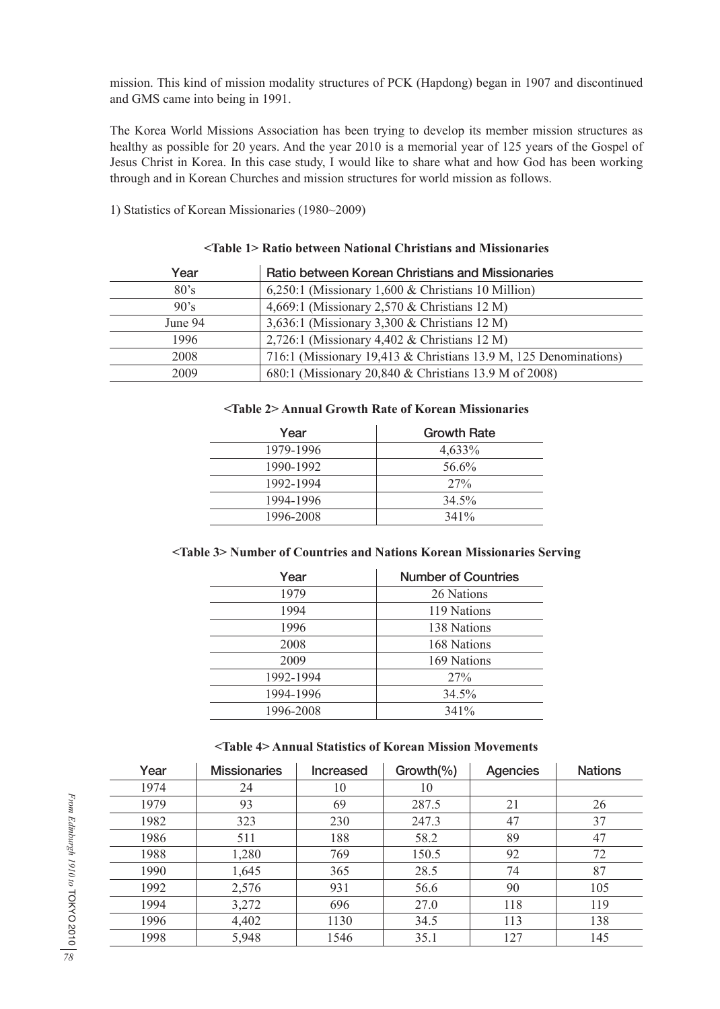mission. This kind of mission modality structures of PCK (Hapdong) began in 1907 and discontinued and GMS came into being in 1991.

The Korea World Missions Association has been trying to develop its member mission structures as healthy as possible for 20 years. And the year 2010 is a memorial year of 125 years of the Gospel of Jesus Christ in Korea. In this case study, I would like to share what and how God has been working through and in Korean Churches and mission structures for world mission as follows.

1) Statistics of Korean Missionaries (1980~2009)

| Year    | Ratio between Korean Christians and Missionaries                 |
|---------|------------------------------------------------------------------|
| 80's    | $6,250:1$ (Missionary 1,600 & Christians 10 Million)             |
| 90's    | 4,669:1 (Missionary 2,570 & Christians 12 M)                     |
| June 94 | 3,636:1 (Missionary 3,300 & Christians 12 M)                     |
| 1996    | 2,726:1 (Missionary 4,402 & Christians 12 M)                     |
| 2008    | 716:1 (Missionary 19,413 & Christians 13.9 M, 125 Denominations) |
| 2009    | 680:1 (Missionary 20,840 & Christians 13.9 M of 2008)            |

### **<Table 1> Ratio between National Christians and Missionaries**

#### **<Table 2> Annual Growth Rate of Korean Missionaries**

| Year      | <b>Growth Rate</b> |
|-----------|--------------------|
| 1979-1996 | 4,633%             |
| 1990-1992 | 56.6%              |
| 1992-1994 | 27%                |
| 1994-1996 | 34.5%              |
| 1996-2008 | $341\%$            |

#### **<Table 3> Number of Countries and Nations Korean Missionaries Serving**

| Year      | <b>Number of Countries</b> |
|-----------|----------------------------|
| 1979      | 26 Nations                 |
| 1994      | 119 Nations                |
| 1996      | 138 Nations                |
| 2008      | 168 Nations                |
| 2009      | 169 Nations                |
| 1992-1994 | 27%                        |
| 1994-1996 | 34.5%                      |
| 1996-2008 | 341%                       |

#### **<Table 4> Annual Statistics of Korean Mission Movements**

| Year | <b>Missionaries</b> | <b>Increased</b> | $Growth$ (%) | <b>Agencies</b> | <b>Nations</b> |
|------|---------------------|------------------|--------------|-----------------|----------------|
| 1974 | 24                  | 10               | 10           |                 |                |
| 1979 | 93                  | 69               | 287.5        | 21              | 26             |
| 1982 | 323                 | 230              | 247.3        | 47              | 37             |
| 1986 | 511                 | 188              | 58.2         | 89              | 47             |
| 1988 | 1,280               | 769              | 150.5        | 92              | 72             |
| 1990 | 1,645               | 365              | 28.5         | 74              | 87             |
| 1992 | 2,576               | 931              | 56.6         | 90              | 105            |
| 1994 | 3,272               | 696              | 27.0         | 118             | 119            |
| 1996 | 4,402               | 1130             | 34.5         | 113             | 138            |
| 1998 | 5,948               | 1546             | 35.1         | 127             | 145            |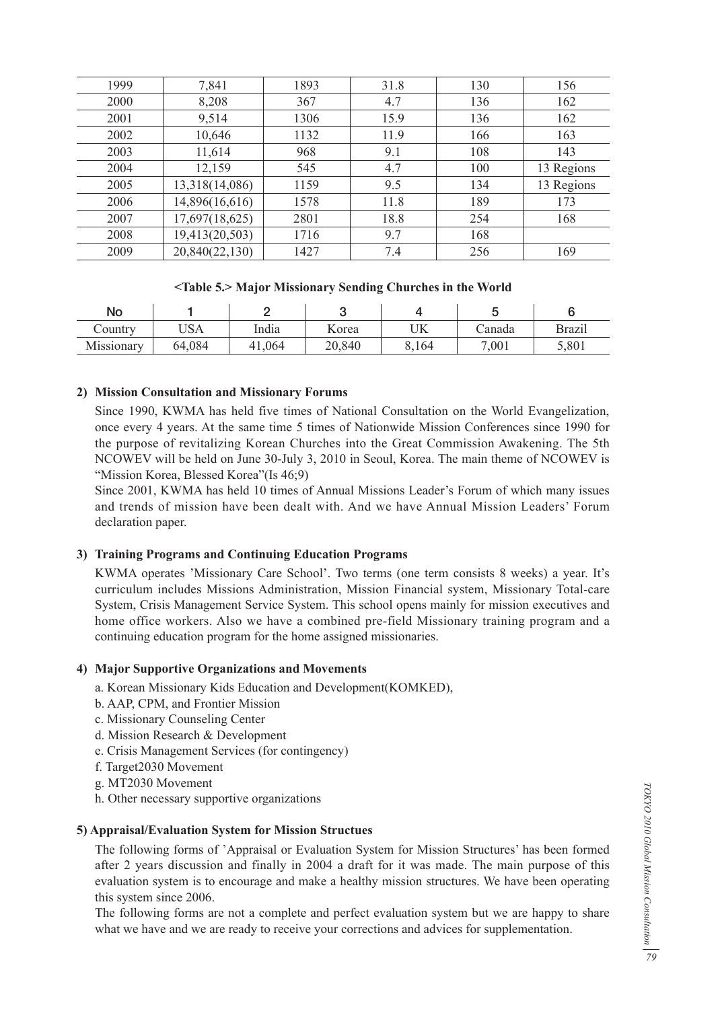| 1999 | 7,841          | 1893 | 31.8 | 130 | 156        |
|------|----------------|------|------|-----|------------|
| 2000 | 8,208          | 367  | 4.7  | 136 | 162        |
| 2001 | 9,514          | 1306 | 15.9 | 136 | 162        |
| 2002 | 10,646         | 1132 | 11.9 | 166 | 163        |
| 2003 | 11,614         | 968  | 9.1  | 108 | 143        |
| 2004 | 12,159         | 545  | 4.7  | 100 | 13 Regions |
| 2005 | 13,318(14,086) | 1159 | 9.5  | 134 | 13 Regions |
| 2006 | 14,896(16,616) | 1578 | 11.8 | 189 | 173        |
| 2007 | 17,697(18,625) | 2801 | 18.8 | 254 | 168        |
| 2008 | 19,413(20,503) | 1716 | 9.7  | 168 |            |
| 2009 | 20,840(22,130) | 1427 | 7.4  | 256 | 169        |

### **<Table 5.> Major Missionary Sending Churches in the World**

| No            |                   |       |        |       |        |               |
|---------------|-------------------|-------|--------|-------|--------|---------------|
| $\sim$ ountry | $T$ $C_A$<br>AGU. | India | Korea  | UK    | ∠anada | <b>Brazil</b> |
| Missionary    | 64,084            | ,064  | 20,840 | 8,164 | 7,001  | 5,801         |

### **2) Mission Consultation and Missionary Forums**

 Since 1990, KWMA has held five times of National Consultation on the World Evangelization, once every 4 years. At the same time 5 times of Nationwide Mission Conferences since 1990 for the purpose of revitalizing Korean Churches into the Great Commission Awakening. The 5th NCOWEV will be held on June 30-July 3, 2010 in Seoul, Korea. The main theme of NCOWEV is "Mission Korea, Blessed Korea" (Is 46:9)

 Since 2001, KWMA has held 10 times of Annual Missions Leader's Forum of which many issues and trends of mission have been dealt with. And we have Annual Mission Leaders' Forum declaration paper.

#### **3) Training Programs and Continuing Education Programs**

 KWMA operates 'Missionary Care School'. Two terms (one term consists 8 weeks) a year. It's curriculum includes Missions Administration, Mission Financial system, Missionary Total-care System, Crisis Management Service System. This school opens mainly for mission executives and home office workers. Also we have a combined pre-field Missionary training program and a continuing education program for the home assigned missionaries.

#### **4) Major Supportive Organizations and Movements**

- a. Korean Missionary Kids Education and Development(KOMKED),
- b. AAP, CPM, and Frontier Mission
- c. Missionary Counseling Center
- d. Mission Research & Development
- e. Crisis Management Services (for contingency)
- f. Target2030 Movement
- g. MT2030 Movement
- h. Other necessary supportive organizations

#### **5) Appraisal/Evaluation System for Mission Structues**

 The following forms of 'Appraisal or Evaluation System for Mission Structures' has been formed after 2 years discussion and finally in 2004 a draft for it was made. The main purpose of this evaluation system is to encourage and make a healthy mission structures. We have been operating this system since 2006.

 The following forms are not a complete and perfect evaluation system but we are happy to share what we have and we are ready to receive your corrections and advices for supplementation.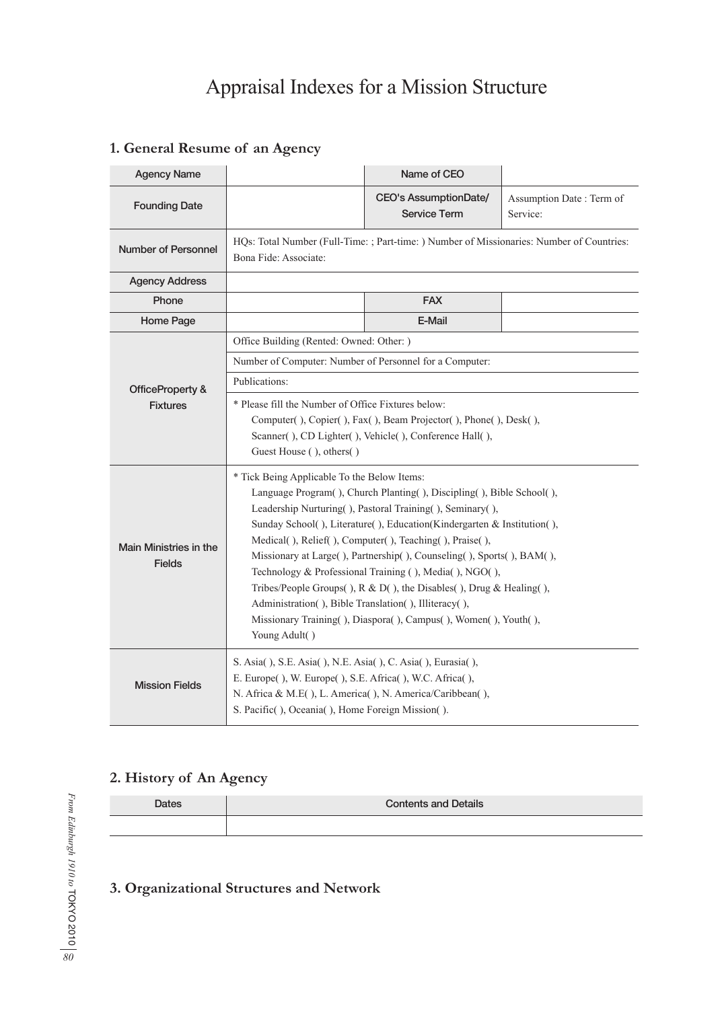# Appraisal Indexes for a Mission Structure

| <b>Agency Name</b>                      |                                                                                                                                                                                                                                                                                                                                                                                                                                                                                                                                                                                                                                                                           | Name of CEO                                                                               |                                      |  |  |  |  |  |
|-----------------------------------------|---------------------------------------------------------------------------------------------------------------------------------------------------------------------------------------------------------------------------------------------------------------------------------------------------------------------------------------------------------------------------------------------------------------------------------------------------------------------------------------------------------------------------------------------------------------------------------------------------------------------------------------------------------------------------|-------------------------------------------------------------------------------------------|--------------------------------------|--|--|--|--|--|
| <b>Founding Date</b>                    |                                                                                                                                                                                                                                                                                                                                                                                                                                                                                                                                                                                                                                                                           | <b>CEO's AssumptionDate/</b><br><b>Service Term</b>                                       | Assumption Date: Term of<br>Service: |  |  |  |  |  |
| <b>Number of Personnel</b>              | Bona Fide: Associate:                                                                                                                                                                                                                                                                                                                                                                                                                                                                                                                                                                                                                                                     | HQs: Total Number (Full-Time: ; Part-time: ) Number of Missionaries: Number of Countries: |                                      |  |  |  |  |  |
| <b>Agency Address</b>                   |                                                                                                                                                                                                                                                                                                                                                                                                                                                                                                                                                                                                                                                                           |                                                                                           |                                      |  |  |  |  |  |
| Phone                                   |                                                                                                                                                                                                                                                                                                                                                                                                                                                                                                                                                                                                                                                                           | <b>FAX</b>                                                                                |                                      |  |  |  |  |  |
| Home Page                               |                                                                                                                                                                                                                                                                                                                                                                                                                                                                                                                                                                                                                                                                           | E-Mail                                                                                    |                                      |  |  |  |  |  |
|                                         | Office Building (Rented: Owned: Other: )                                                                                                                                                                                                                                                                                                                                                                                                                                                                                                                                                                                                                                  |                                                                                           |                                      |  |  |  |  |  |
|                                         | Number of Computer: Number of Personnel for a Computer:                                                                                                                                                                                                                                                                                                                                                                                                                                                                                                                                                                                                                   |                                                                                           |                                      |  |  |  |  |  |
| OfficeProperty &                        | Publications:                                                                                                                                                                                                                                                                                                                                                                                                                                                                                                                                                                                                                                                             |                                                                                           |                                      |  |  |  |  |  |
| <b>Fixtures</b>                         | * Please fill the Number of Office Fixtures below:<br>Computer(), Copier(), Fax(), Beam Projector(), Phone(), Desk(),<br>Scanner(), CD Lighter(), Vehicle(), Conference Hall(),<br>Guest House (), others()                                                                                                                                                                                                                                                                                                                                                                                                                                                               |                                                                                           |                                      |  |  |  |  |  |
| Main Ministries in the<br><b>Fields</b> | * Tick Being Applicable To the Below Items:<br>Language Program(), Church Planting(), Discipling(), Bible School(),<br>Leadership Nurturing(), Pastoral Training(), Seminary(),<br>Sunday School(), Literature(), Education(Kindergarten & Institution(),<br>Medical(), Relief(), Computer(), Teaching(), Praise(),<br>Missionary at Large(), Partnership(), Counseling(), Sports(), BAM(),<br>Technology & Professional Training (), Media(), NGO(),<br>Tribes/People Groups(), $R & D($ ), the Disables(), Drug & Healing(),<br>Administration(), Bible Translation(), Illiteracy(),<br>Missionary Training(), Diaspora(), Campus(), Women(), Youth(),<br>Young Adult() |                                                                                           |                                      |  |  |  |  |  |
| <b>Mission Fields</b>                   | S. Asia(), S.E. Asia(), N.E. Asia(), C. Asia(), Eurasia(),<br>E. Europe(), W. Europe(), S.E. Africa(), W.C. Africa(),<br>N. Africa & M.E(), L. America(), N. America/Caribbean(),<br>S. Pacific(), Oceania(), Home Foreign Mission().                                                                                                                                                                                                                                                                                                                                                                                                                                     |                                                                                           |                                      |  |  |  |  |  |

# **1. General Resume of an Agency**

# **2. History of An Agency**

| <b>Dates</b> | <b>Contents and Details</b> |
|--------------|-----------------------------|
|              |                             |

# **3. Organizational Structures and Network**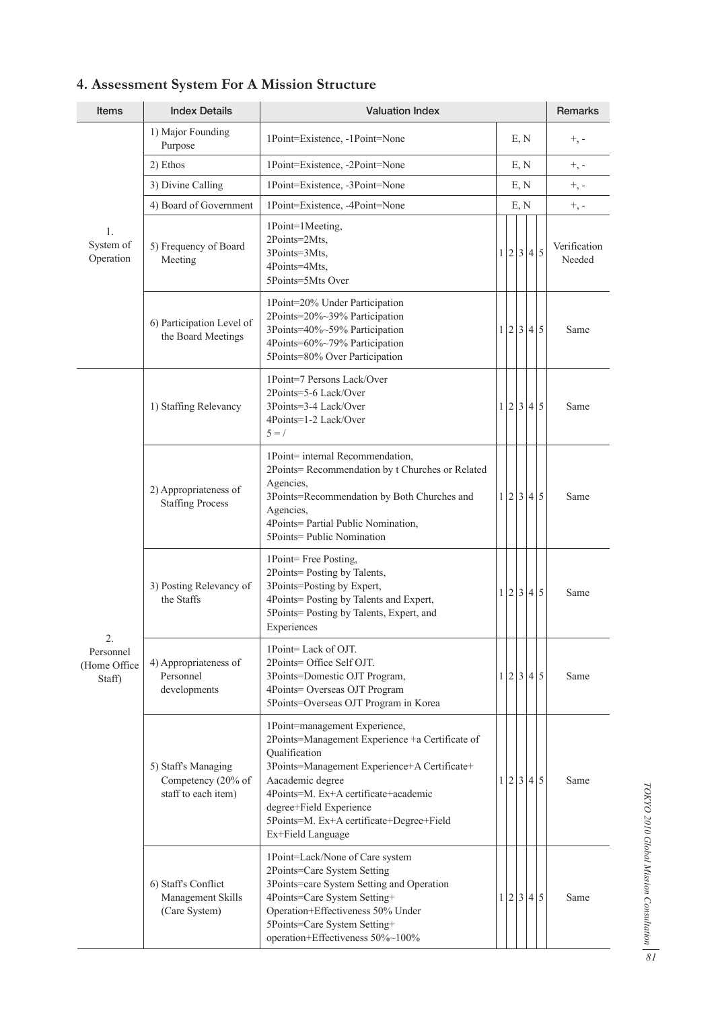| <b>Items</b>                        | <b>Index Details</b>                                             | <b>Valuation Index</b>                                                                                                                                                                                                                                                                                    |      |  |      |      |           | Remarks                |
|-------------------------------------|------------------------------------------------------------------|-----------------------------------------------------------------------------------------------------------------------------------------------------------------------------------------------------------------------------------------------------------------------------------------------------------|------|--|------|------|-----------|------------------------|
|                                     | 1) Major Founding<br>Purpose                                     | 1Point=Existence, -1Point=None                                                                                                                                                                                                                                                                            | E, N |  |      |      |           | $+$ , -                |
|                                     | 2) Ethos                                                         | 1Point=Existence, -2Point=None                                                                                                                                                                                                                                                                            | E, N |  |      |      |           | $+$ , -                |
|                                     | 3) Divine Calling                                                | 1Point=Existence, -3Point=None                                                                                                                                                                                                                                                                            |      |  | E, N |      |           | $+$ , -                |
|                                     | 4) Board of Government                                           | 1Point=Existence, -4Point=None                                                                                                                                                                                                                                                                            |      |  |      | E, N |           | $+$ , -                |
| 1.<br>System of<br>Operation        | 5) Frequency of Board<br>Meeting                                 | 1Point=1Meeting,<br>2Points=2Mts,<br>3Points=3Mts,<br>4Points=4Mts,<br>5Points=5Mts Over                                                                                                                                                                                                                  |      |  |      |      | 1 2 3 4 5 | Verification<br>Needed |
|                                     | 6) Participation Level of<br>the Board Meetings                  | 1Point=20% Under Participation<br>2Points=20%~39% Participation<br>3Points=40%~59% Participation<br>4Points=60%~79% Participation<br>5Points=80% Over Participation                                                                                                                                       |      |  |      |      | 1 2 3 4 5 | Same                   |
|                                     | 1) Staffing Relevancy                                            | 1Point=7 Persons Lack/Over<br>2Points=5-6 Lack/Over<br>3Points=3-4 Lack/Over<br>4Points=1-2 Lack/Over<br>$5 = /$                                                                                                                                                                                          |      |  |      |      | 1 2 3 4 5 | Same                   |
|                                     | 2) Appropriateness of<br><b>Staffing Process</b>                 | 1Point= internal Recommendation,<br>2Points=Recommendation by t Churches or Related<br>Agencies,<br>3Points=Recommendation by Both Churches and<br>Agencies,<br>4Points= Partial Public Nomination,<br>5Points= Public Nomination                                                                         |      |  |      |      | 1 2 3 4 5 | Same                   |
| 2.                                  | 3) Posting Relevancy of<br>the Staffs                            | 1Point=Free Posting,<br>2Points=Posting by Talents,<br>3Points=Posting by Expert,<br>4Points=Posting by Talents and Expert,<br>5Points=Posting by Talents, Expert, and<br>Experiences                                                                                                                     |      |  |      |      | 1 2 3 4 5 | Same                   |
| Personnel<br>(Home Office<br>Staff) | 4) Appropriateness of<br>Personnel<br>developments               | 1Point=Lack of OJT.<br>2Points= Office Self OJT.<br>3Points=Domestic OJT Program,<br>4Points= Overseas OJT Program<br>5Points=Overseas OJT Program in Korea                                                                                                                                               |      |  |      |      | 1 2 3 4 5 | Same                   |
|                                     | 5) Staff's Managing<br>Competency (20% of<br>staff to each item) | 1Point=management Experience,<br>2Points=Management Experience +a Certificate of<br>Qualification<br>3Points=Management Experience+A Certificate+<br>Aacademic degree<br>4Points=M. Ex+A certificate+academic<br>degree+Field Experience<br>5Points=M. Ex+A certificate+Degree+Field<br>Ex+Field Language |      |  |      |      | 1 2 3 4 5 | Same                   |
|                                     | 6) Staff's Conflict<br>Management Skills<br>(Care System)        | 1Point=Lack/None of Care system<br>2Points=Care System Setting<br>3Points=care System Setting and Operation<br>4Points=Care System Setting+<br>Operation+Effectiveness 50% Under<br>5Points=Care System Setting+<br>operation+Effectiveness 50%~100%                                                      |      |  |      |      | 1 2 3 4 5 | Same                   |

# **4. Assessment System For A Mission Structure**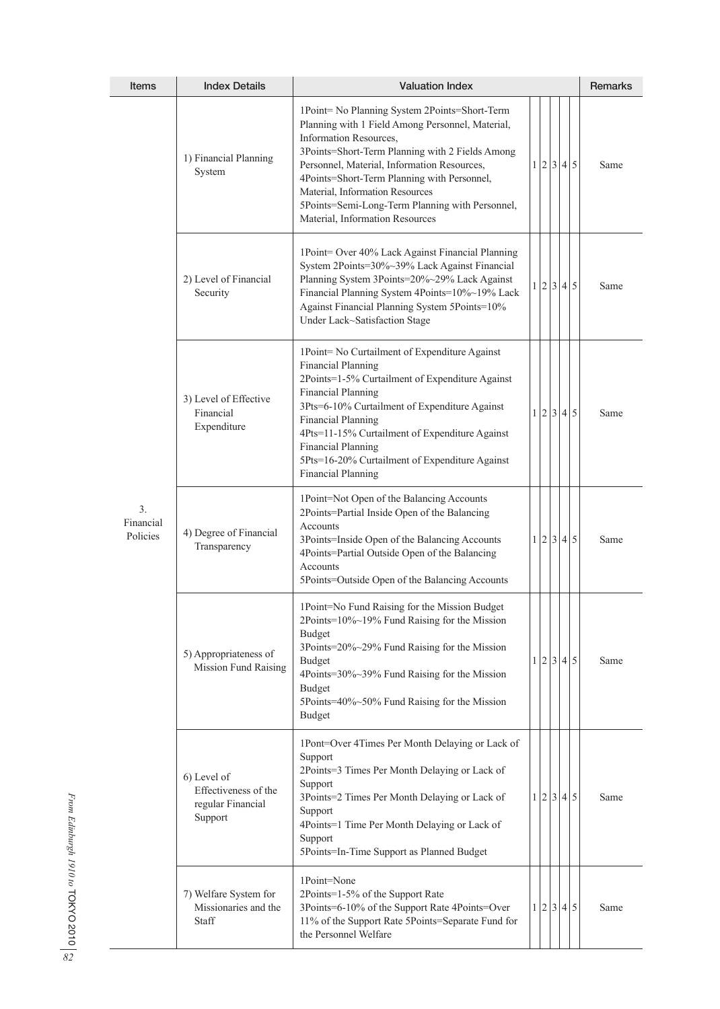| <b>Items</b>                            | <b>Index Details</b>                                                | <b>Valuation Index</b>                                                                                                                                                                                                                                                                                                                                                                                 |                |  |  |  |           | Remarks |
|-----------------------------------------|---------------------------------------------------------------------|--------------------------------------------------------------------------------------------------------------------------------------------------------------------------------------------------------------------------------------------------------------------------------------------------------------------------------------------------------------------------------------------------------|----------------|--|--|--|-----------|---------|
| 3 <sub>1</sub><br>Financial<br>Policies | 1) Financial Planning<br>System                                     | 1Point= No Planning System 2Points=Short-Term<br>Planning with 1 Field Among Personnel, Material,<br>Information Resources,<br>3Points=Short-Term Planning with 2 Fields Among<br>Personnel, Material, Information Resources,<br>4Points=Short-Term Planning with Personnel,<br>Material, Information Resources<br>5Points=Semi-Long-Term Planning with Personnel,<br>Material, Information Resources  | 1 <sup>1</sup> |  |  |  | 2 3 4 5   | Same    |
|                                         | 2) Level of Financial<br>Security                                   | 1Point= Over 40% Lack Against Financial Planning<br>System 2Points=30%~39% Lack Against Financial<br>Planning System 3Points=20%~29% Lack Against<br>Financial Planning System 4Points=10%~19% Lack<br>Against Financial Planning System 5Points=10%<br>Under Lack~Satisfaction Stage                                                                                                                  |                |  |  |  | 1 2 3 4 5 | Same    |
|                                         | 3) Level of Effective<br>Financial<br>Expenditure                   | 1Point= No Curtailment of Expenditure Against<br><b>Financial Planning</b><br>2Points=1-5% Curtailment of Expenditure Against<br><b>Financial Planning</b><br>3Pts=6-10% Curtailment of Expenditure Against<br><b>Financial Planning</b><br>4Pts=11-15% Curtailment of Expenditure Against<br><b>Financial Planning</b><br>5Pts=16-20% Curtailment of Expenditure Against<br><b>Financial Planning</b> |                |  |  |  | 1 2 3 4 5 | Same    |
|                                         | 4) Degree of Financial<br>Transparency                              | 1Point=Not Open of the Balancing Accounts<br>2Points=Partial Inside Open of the Balancing<br>Accounts<br>3Points=Inside Open of the Balancing Accounts<br>4Points=Partial Outside Open of the Balancing<br>Accounts<br>5Points=Outside Open of the Balancing Accounts                                                                                                                                  |                |  |  |  | 1 2 3 4 5 | Same    |
|                                         | 5) Appropriateness of<br><b>Mission Fund Raising</b>                | 1Point=No Fund Raising for the Mission Budget<br>2Points=10%~19% Fund Raising for the Mission<br><b>Budget</b><br>3Points=20%~29% Fund Raising for the Mission<br><b>Budget</b><br>4Points=30%~39% Fund Raising for the Mission<br><b>Budget</b><br>5Points=40%~50% Fund Raising for the Mission<br><b>Budget</b>                                                                                      | 1 <sup>1</sup> |  |  |  | 2 3 4 5   | Same    |
|                                         | 6) Level of<br>Effectiveness of the<br>regular Financial<br>Support | 1Pont=Over 4Times Per Month Delaying or Lack of<br>Support<br>2Points=3 Times Per Month Delaying or Lack of<br>Support<br>3Points=2 Times Per Month Delaying or Lack of<br>Support<br>4Points=1 Time Per Month Delaying or Lack of<br>Support<br>5Points=In-Time Support as Planned Budget                                                                                                             |                |  |  |  | 1 2 3 4 5 | Same    |
|                                         | 7) Welfare System for<br>Missionaries and the<br>Staff              | 1Point=None<br>2Points=1-5% of the Support Rate<br>3Points=6-10% of the Support Rate 4Points=Over<br>11% of the Support Rate 5Points=Separate Fund for<br>the Personnel Welfare                                                                                                                                                                                                                        |                |  |  |  | 1 2 3 4 5 | Same    |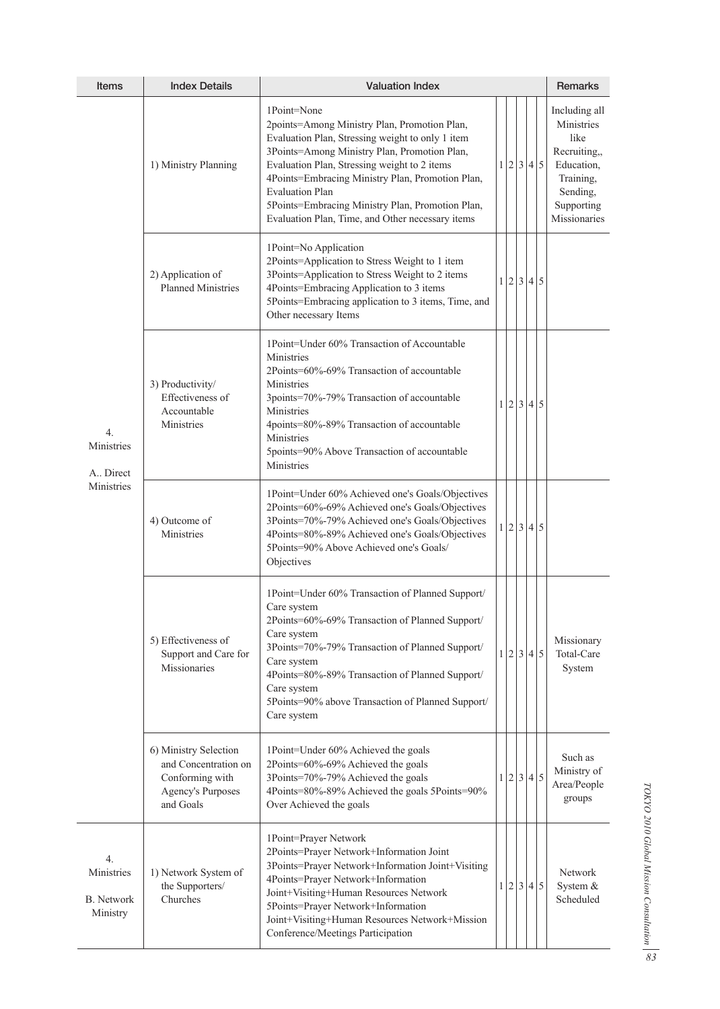| <b>Items</b>                                      | <b>Index Details</b>                                                                                      | <b>Valuation Index</b>                                                                                                                                                                                                                                                                                                                                                                                |  |     |  |         |           | Remarks                                                                                                                  |
|---------------------------------------------------|-----------------------------------------------------------------------------------------------------------|-------------------------------------------------------------------------------------------------------------------------------------------------------------------------------------------------------------------------------------------------------------------------------------------------------------------------------------------------------------------------------------------------------|--|-----|--|---------|-----------|--------------------------------------------------------------------------------------------------------------------------|
| 4.<br>Ministries<br>A. Direct<br>Ministries       | 1) Ministry Planning                                                                                      | 1Point=None<br>2points=Among Ministry Plan, Promotion Plan,<br>Evaluation Plan, Stressing weight to only 1 item<br>3Points=Among Ministry Plan, Promotion Plan,<br>Evaluation Plan, Stressing weight to 2 items<br>4Points=Embracing Ministry Plan, Promotion Plan,<br><b>Evaluation Plan</b><br>5Points=Embracing Ministry Plan, Promotion Plan,<br>Evaluation Plan, Time, and Other necessary items |  |     |  |         | 1 2 3 4 5 | Including all<br>Ministries<br>like<br>Recruiting,,<br>Education,<br>Training,<br>Sending,<br>Supporting<br>Missionaries |
|                                                   | 2) Application of<br><b>Planned Ministries</b>                                                            | 1Point=No Application<br>2Points=Application to Stress Weight to 1 item<br>3Points=Application to Stress Weight to 2 items<br>4Points=Embracing Application to 3 items<br>5Points=Embracing application to 3 items, Time, and<br>Other necessary Items                                                                                                                                                |  |     |  |         | 1 2 3 4 5 |                                                                                                                          |
|                                                   | 3) Productivity/<br>Effectiveness of<br>Accountable<br>Ministries                                         | 1Point=Under 60% Transaction of Accountable<br>Ministries<br>2Points=60%-69% Transaction of accountable<br>Ministries<br>3points=70%-79% Transaction of accountable<br><b>Ministries</b><br>4points=80%-89% Transaction of accountable<br>Ministries<br>5points=90% Above Transaction of accountable<br>Ministries                                                                                    |  |     |  | 1 2 3 4 | $\vert$ 5 |                                                                                                                          |
|                                                   | 4) Outcome of<br>Ministries                                                                               | 1Point=Under 60% Achieved one's Goals/Objectives<br>2Points=60%-69% Achieved one's Goals/Objectives<br>3Points=70%-79% Achieved one's Goals/Objectives<br>4Points=80%-89% Achieved one's Goals/Objectives<br>5Points=90% Above Achieved one's Goals/<br>Objectives                                                                                                                                    |  |     |  |         | 1 2 3 4 5 |                                                                                                                          |
|                                                   | 5) Effectiveness of<br>Support and Care for<br>Missionaries                                               | 1Point=Under 60% Transaction of Planned Support/<br>Care system<br>2Points=60%-69% Transaction of Planned Support/<br>Care system<br>3Points=70%-79% Transaction of Planned Support/<br>Care system<br>4Points=80%-89% Transaction of Planned Support/<br>Care system<br>5Points=90% above Transaction of Planned Support/<br>Care system                                                             |  |     |  |         | 1 2 3 4 5 | Missionary<br>Total-Care<br>System                                                                                       |
|                                                   | 6) Ministry Selection<br>and Concentration on<br>Conforming with<br><b>Agency's Purposes</b><br>and Goals | 1Point=Under 60% Achieved the goals<br>2Points=60%-69% Achieved the goals<br>3Points=70%-79% Achieved the goals<br>4Points=80%-89% Achieved the goals 5Points=90%<br>Over Achieved the goals                                                                                                                                                                                                          |  |     |  |         | 1 2 3 4 5 | Such as<br>Ministry of<br>Area/People<br>groups                                                                          |
| 4.<br>Ministries<br><b>B.</b> Network<br>Ministry | 1) Network System of<br>the Supporters/<br>Churches                                                       | 1Point=Prayer Network<br>2Points=Prayer Network+Information Joint<br>3Points=Prayer Network+Information Joint+Visiting<br>4Points=Prayer Network+Information<br>Joint+Visiting+Human Resources Network<br>5Points=Prayer Network+Information<br>Joint+Visiting+Human Resources Network+Mission<br>Conference/Meetings Participation                                                                   |  | 1 2 |  |         | 3 4 5     | Network<br>System &<br>Scheduled                                                                                         |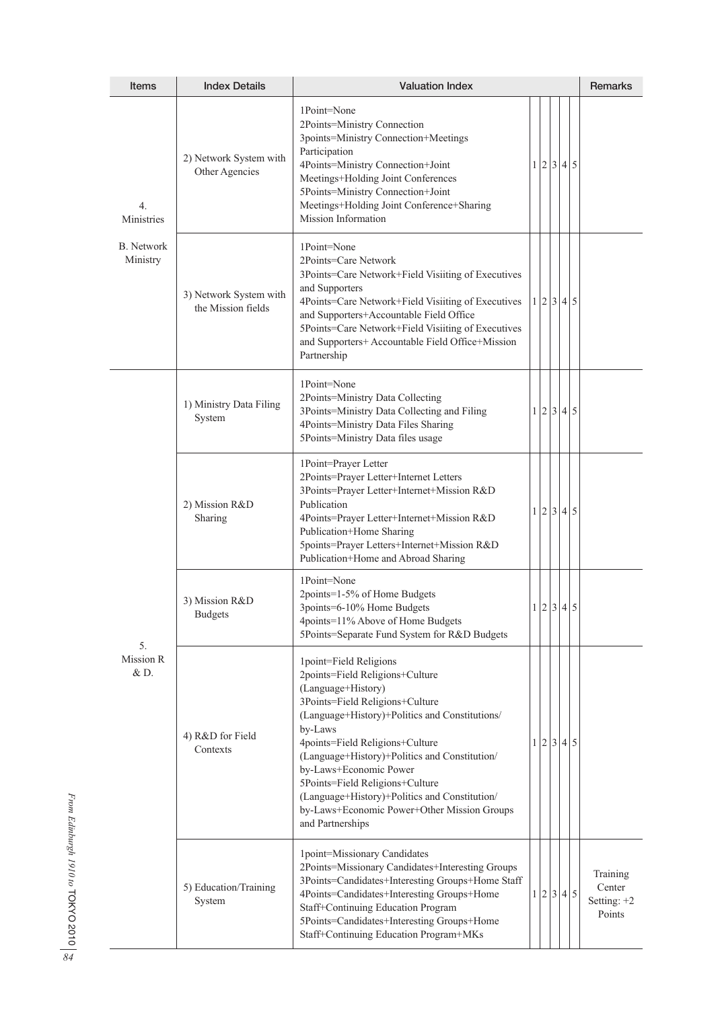| Items                                             | <b>Index Details</b>                         | <b>Valuation Index</b>                                                                                                                                                                                                                                                                                                                                                                                                                               | Remarks |     |  |           |                                               |
|---------------------------------------------------|----------------------------------------------|------------------------------------------------------------------------------------------------------------------------------------------------------------------------------------------------------------------------------------------------------------------------------------------------------------------------------------------------------------------------------------------------------------------------------------------------------|---------|-----|--|-----------|-----------------------------------------------|
| 4.<br>Ministries<br><b>B.</b> Network<br>Ministry | 2) Network System with<br>Other Agencies     | 1Point=None<br>2Points=Ministry Connection<br>3points=Ministry Connection+Meetings<br>Participation<br>4Points=Ministry Connection+Joint<br>Meetings+Holding Joint Conferences<br>5Points=Ministry Connection+Joint<br>Meetings+Holding Joint Conference+Sharing<br>Mission Information                                                                                                                                                              |         |     |  | 1 2 3 4 5 |                                               |
|                                                   | 3) Network System with<br>the Mission fields | 1Point=None<br>2Points=Care Network<br>3Points=Care Network+Field Visiiting of Executives<br>and Supporters<br>4Points=Care Network+Field Visiiting of Executives<br>and Supporters+Accountable Field Office<br>5Points=Care Network+Field Visiiting of Executives<br>and Supporters+ Accountable Field Office+Mission<br>Partnership                                                                                                                | 1       | 2   |  | 3 4 5     |                                               |
| 5.<br>Mission R<br>$&D$ .                         | 1) Ministry Data Filing<br>System            | 1Point=None<br>2Points=Ministry Data Collecting<br>3Points=Ministry Data Collecting and Filing<br>4Points=Ministry Data Files Sharing<br>5Points=Ministry Data files usage                                                                                                                                                                                                                                                                           |         |     |  | 1 2 3 4 5 |                                               |
|                                                   | 2) Mission R&D<br>Sharing                    | 1Point=Prayer Letter<br>2Points=Prayer Letter+Internet Letters<br>3Points=Prayer Letter+Internet+Mission R&D<br>Publication<br>4Points=Prayer Letter+Internet+Mission R&D<br>Publication+Home Sharing<br>5points=Prayer Letters+Internet+Mission R&D<br>Publication+Home and Abroad Sharing                                                                                                                                                          |         |     |  | 1 2 3 4 5 |                                               |
|                                                   | 3) Mission R&D<br><b>Budgets</b>             | 1Point=None<br>2points=1-5% of Home Budgets<br>3points=6-10% Home Budgets<br>4points=11% Above of Home Budgets<br>5Points=Separate Fund System for R&D Budgets                                                                                                                                                                                                                                                                                       |         |     |  | 1 2 3 4 5 |                                               |
|                                                   | 4) R&D for Field<br>Contexts                 | 1point=Field Religions<br>2points=Field Religions+Culture<br>(Language+History)<br>3Points=Field Religions+Culture<br>(Language+History)+Politics and Constitutions/<br>by-Laws<br>4points=Field Religions+Culture<br>(Language+History)+Politics and Constitution/<br>by-Laws+Economic Power<br>5Points=Field Religions+Culture<br>(Language+History)+Politics and Constitution/<br>by-Laws+Economic Power+Other Mission Groups<br>and Partnerships |         |     |  | 1 2 3 4 5 |                                               |
|                                                   | 5) Education/Training<br>System              | 1point=Missionary Candidates<br>2Points=Missionary Candidates+Interesting Groups<br>3Points=Candidates+Interesting Groups+Home Staff<br>4Points=Candidates+Interesting Groups+Home<br>Staff+Continuing Education Program<br>5Points=Candidates+Interesting Groups+Home<br>Staff+Continuing Education Program+MKs                                                                                                                                     |         | 1 2 |  | 3 4 5     | Training<br>Center<br>Setting: $+2$<br>Points |